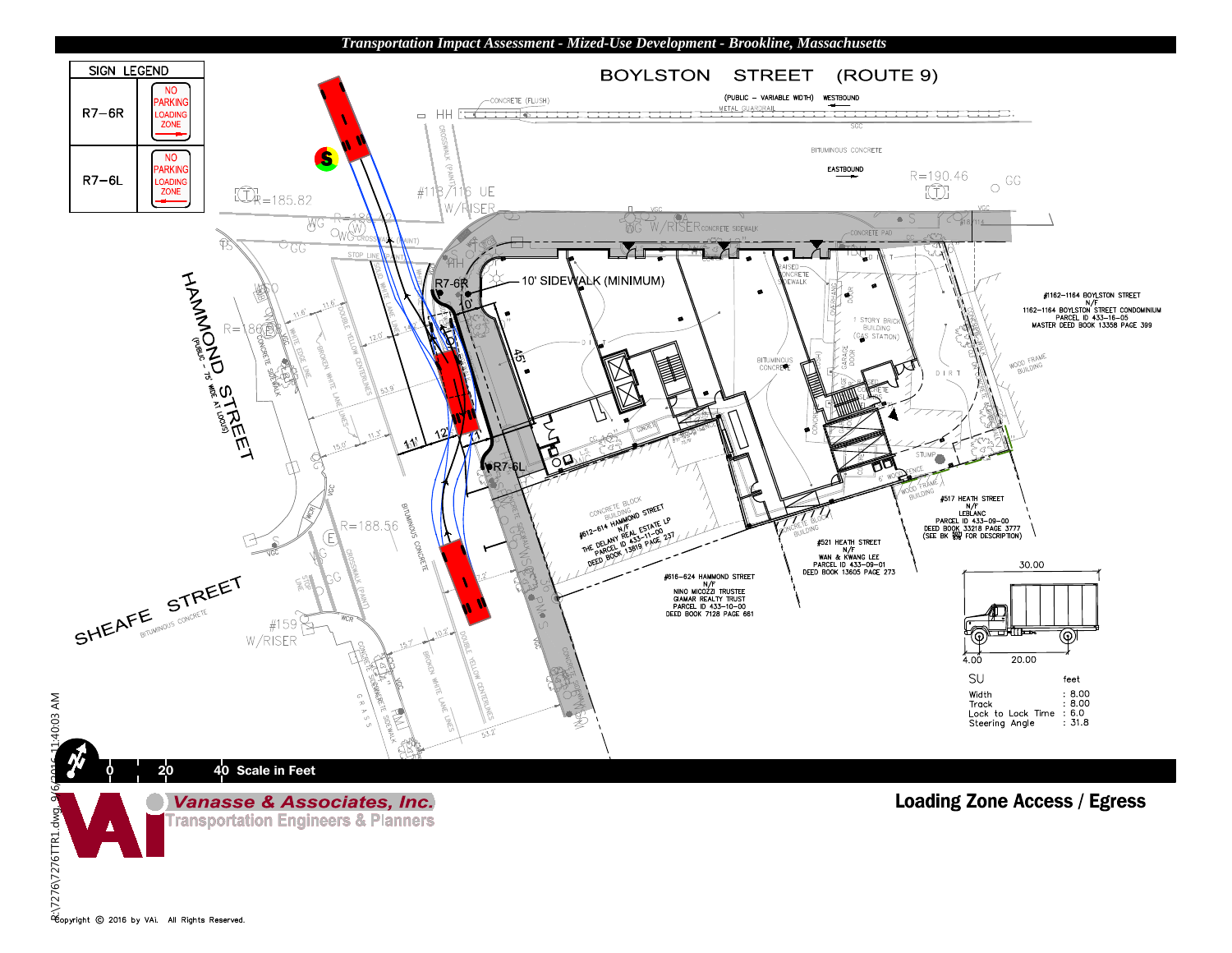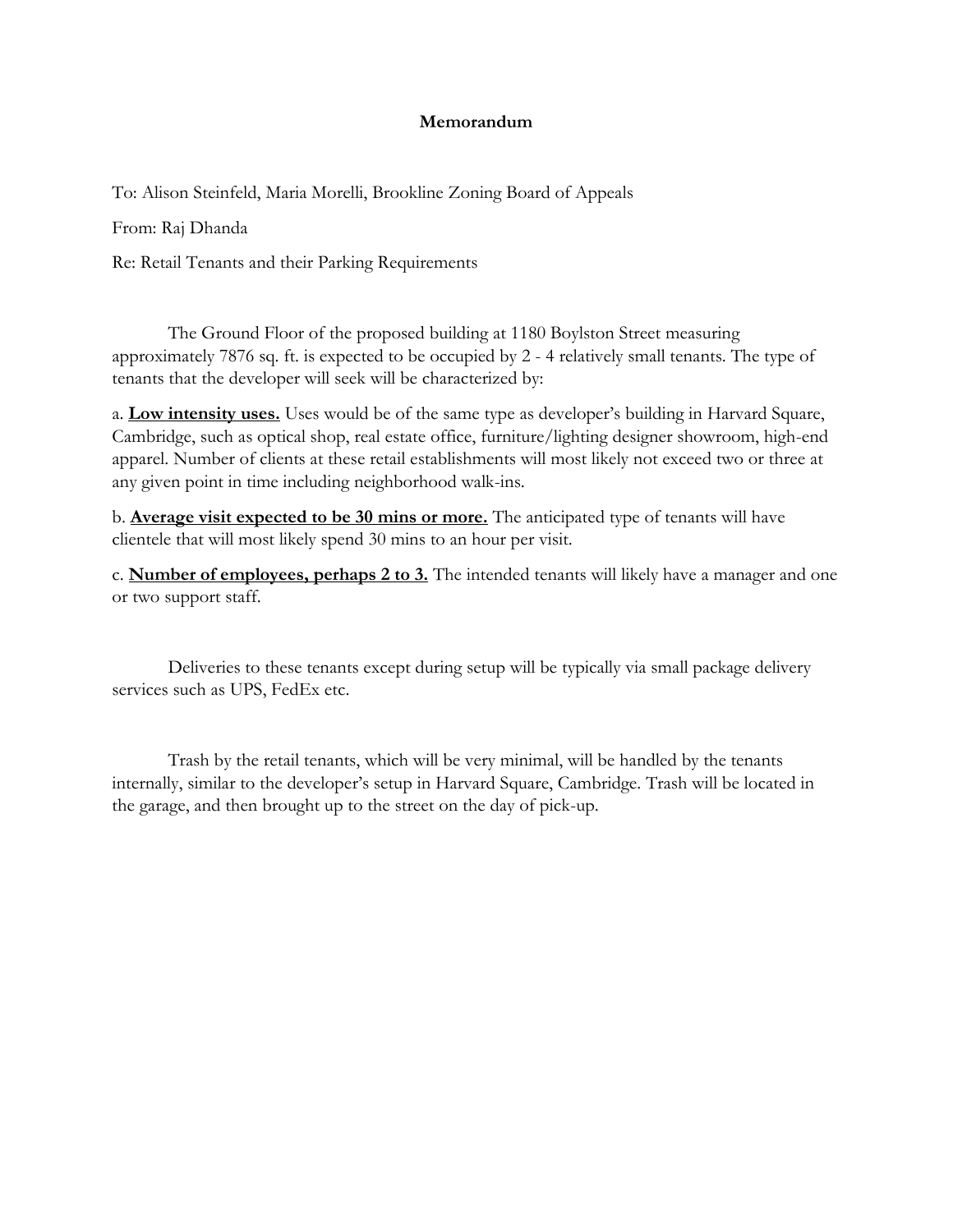## **Memorandum**

To: Alison Steinfeld, Maria Morelli, Brookline Zoning Board of Appeals

From: Raj Dhanda

Re: Retail Tenants and their Parking Requirements

The Ground Floor of the proposed building at 1180 Boylston Street measuring approximately 7876 sq. ft. is expected to be occupied by 2 - 4 relatively small tenants. The type of tenants that the developer will seek will be characterized by:

a. **Low intensity uses.** Uses would be of the same type as developer's building in Harvard Square, Cambridge, such as optical shop, real estate office, furniture/lighting designer showroom, high-end apparel. Number of clients at these retail establishments will most likely not exceed two or three at any given point in time including neighborhood walk-ins.

b. **Average visit expected to be 30 mins or more.** The anticipated type of tenants will have clientele that will most likely spend 30 mins to an hour per visit.

c. **Number of employees, perhaps 2 to 3.** The intended tenants will likely have a manager and one or two support staff.

Deliveries to these tenants except during setup will be typically via small package delivery services such as UPS, FedEx etc.

Trash by the retail tenants, which will be very minimal, will be handled by the tenants internally, similar to the developer's setup in Harvard Square, Cambridge. Trash will be located in the garage, and then brought up to the street on the day of pick-up.